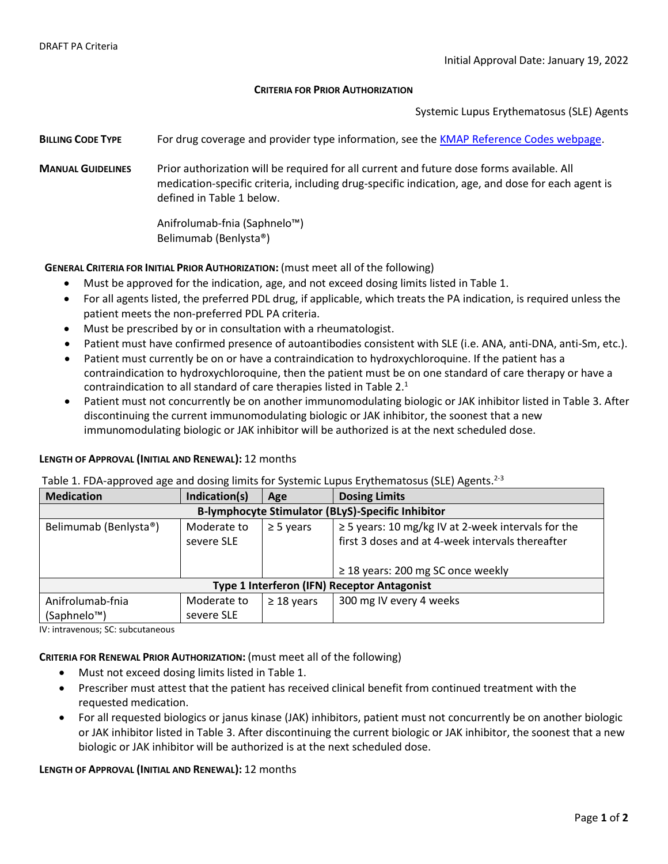#### **CRITERIA FOR PRIOR AUTHORIZATION**

Systemic Lupus Erythematosus (SLE) Agents

- **BILLING CODE TYPE** For drug coverage and provider type information, see the [KMAP Reference Codes webpage.](https://www.kmap-state-ks.us/Provider/PRICING/RefCode.asp)
- **MANUAL GUIDELINES** Prior authorization will be required for all current and future dose forms available. All medication-specific criteria, including drug-specific indication, age, and dose for each agent is defined in Table 1 below.

Anifrolumab-fnia (Saphnelo™) Belimumab (Benlysta®)

# **GENERAL CRITERIA FOR INITIAL PRIOR AUTHORIZATION:** (must meet all of the following)

- Must be approved for the indication, age, and not exceed dosing limits listed in Table 1.
- For all agents listed, the preferred PDL drug, if applicable, which treats the PA indication, is required unless the patient meets the non-preferred PDL PA criteria.
- Must be prescribed by or in consultation with a rheumatologist.
- Patient must have confirmed presence of autoantibodies consistent with SLE (i.e. ANA, anti-DNA, anti-Sm, etc.).
- Patient must currently be on or have a contraindication to hydroxychloroquine. If the patient has a contraindication to hydroxychloroquine, then the patient must be on one standard of care therapy or have a contraindication to all standard of care therapies listed in Table 2.<sup>1</sup>
- Patient must not concurrently be on another immunomodulating biologic or JAK inhibitor listed in Table 3. After discontinuing the current immunomodulating biologic or JAK inhibitor, the soonest that a new immunomodulating biologic or JAK inhibitor will be authorized is at the next scheduled dose.

### **LENGTH OF APPROVAL (INITIAL AND RENEWAL):** 12 months

| Table 1. FDA-approved age and dosing limits for Systemic Lupus Erythematosus (SLE) Agents. <sup>2-3</sup> |  |  |  |
|-----------------------------------------------------------------------------------------------------------|--|--|--|
|-----------------------------------------------------------------------------------------------------------|--|--|--|

| <b>Medication</b>                                        | Indication(s) | Age             | <b>Dosing Limits</b>                                    |  |  |  |
|----------------------------------------------------------|---------------|-----------------|---------------------------------------------------------|--|--|--|
| <b>B-lymphocyte Stimulator (BLyS)-Specific Inhibitor</b> |               |                 |                                                         |  |  |  |
| Belimumab (Benlysta®)                                    | Moderate to   | $\geq$ 5 years  | $\geq$ 5 years: 10 mg/kg IV at 2-week intervals for the |  |  |  |
|                                                          | severe SLE    |                 | first 3 doses and at 4-week intervals thereafter        |  |  |  |
|                                                          |               |                 |                                                         |  |  |  |
|                                                          |               |                 | $\geq$ 18 years: 200 mg SC once weekly                  |  |  |  |
| Type 1 Interferon (IFN) Receptor Antagonist              |               |                 |                                                         |  |  |  |
| Anifrolumab-fnia                                         | Moderate to   | $\geq$ 18 years | 300 mg IV every 4 weeks                                 |  |  |  |
| (Saphnelo <sup>™</sup> )                                 | severe SLE    |                 |                                                         |  |  |  |

IV: intravenous; SC: subcutaneous

**CRITERIA FOR RENEWAL PRIOR AUTHORIZATION:** (must meet all of the following)

- Must not exceed dosing limits listed in Table 1.
- Prescriber must attest that the patient has received clinical benefit from continued treatment with the requested medication.
- For all requested biologics or janus kinase (JAK) inhibitors, patient must not concurrently be on another biologic or JAK inhibitor listed in Table 3. After discontinuing the current biologic or JAK inhibitor, the soonest that a new biologic or JAK inhibitor will be authorized is at the next scheduled dose.

## **LENGTH OF APPROVAL (INITIAL AND RENEWAL):** 12 months